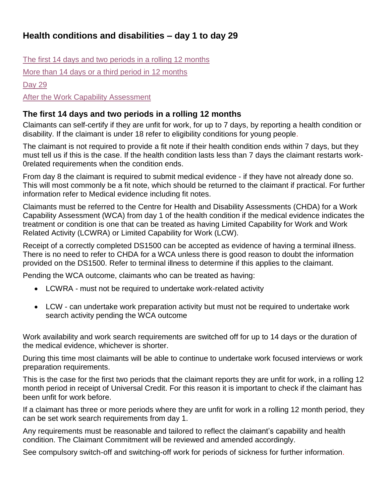# **Health conditions and disabilities – day 1 to day 29**

[The first 14 days and two periods in a rolling 12 months](#page-0-0) [More than 14 days or a third period in 12](#page-1-0) months [Day 29](#page-1-1)

[After the Work Capability Assessment](#page-1-2)

#### <span id="page-0-0"></span>**The first 14 days and two periods in a rolling 12 months**

Claimants can self-certify if they are unfit for work, for up to 7 days, by reporting a health condition or disability. If the claimant is under 18 refer to eligibility conditions for young people.

The claimant is not required to provide a fit note if their health condition ends within 7 days, but they must tell us if this is the case. If the health condition lasts less than 7 days the claimant restarts work-0related requirements when the condition ends.

From day 8 the claimant is required to submit medical evidence - if they have not already done so. This will most commonly be a fit note, which should be returned to the claimant if practical. For further information refer to Medical evidence including fit notes.

Claimants must be referred to the Centre for Health and Disability Assessments (CHDA) for a Work Capability Assessment (WCA) from day 1 of the health condition if the medical evidence indicates the treatment or condition is one that can be treated as having Limited Capability for Work and Work Related Activity (LCWRA) or Limited Capability for Work (LCW).

Receipt of a correctly completed DS1500 can be accepted as evidence of having a terminal illness. There is no need to refer to CHDA for a WCA unless there is good reason to doubt the information provided on the DS1500. Refer to terminal illness to determine if this applies to the claimant.

Pending the WCA outcome, claimants who can be treated as having:

- LCWRA must not be required to undertake work-related activity
- LCW can undertake work preparation activity but must not be required to undertake work search activity pending the WCA outcome

Work availability and work search requirements are switched off for up to 14 days or the duration of the medical evidence, whichever is shorter.

During this time most claimants will be able to continue to undertake work focused interviews or work preparation requirements.

This is the case for the first two periods that the claimant reports they are unfit for work, in a rolling 12 month period in receipt of Universal Credit. For this reason it is important to check if the claimant has been unfit for work before.

If a claimant has three or more periods where they are unfit for work in a rolling 12 month period, they can be set work search requirements from day 1.

Any requirements must be reasonable and tailored to reflect the claimant's capability and health condition. The Claimant Commitment will be reviewed and amended accordingly.

See compulsory switch-off and switching-off work for periods of sickness for further information.